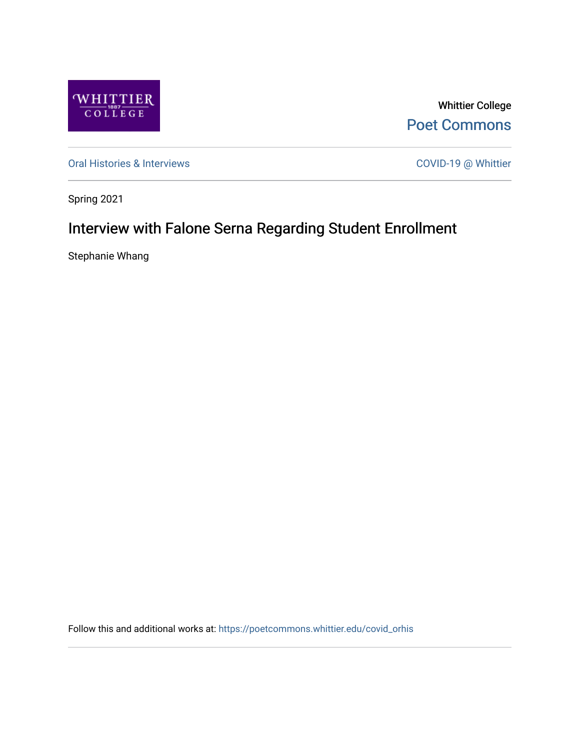

Whittier College [Poet Commons](https://poetcommons.whittier.edu/) 

[Oral Histories & Interviews](https://poetcommons.whittier.edu/covid_orhis) COVID-19 @ Whittier

Spring 2021

## Interview with Falone Serna Regarding Student Enrollment

Stephanie Whang

Follow this and additional works at: [https://poetcommons.whittier.edu/covid\\_orhis](https://poetcommons.whittier.edu/covid_orhis?utm_source=poetcommons.whittier.edu%2Fcovid_orhis%2F3&utm_medium=PDF&utm_campaign=PDFCoverPages)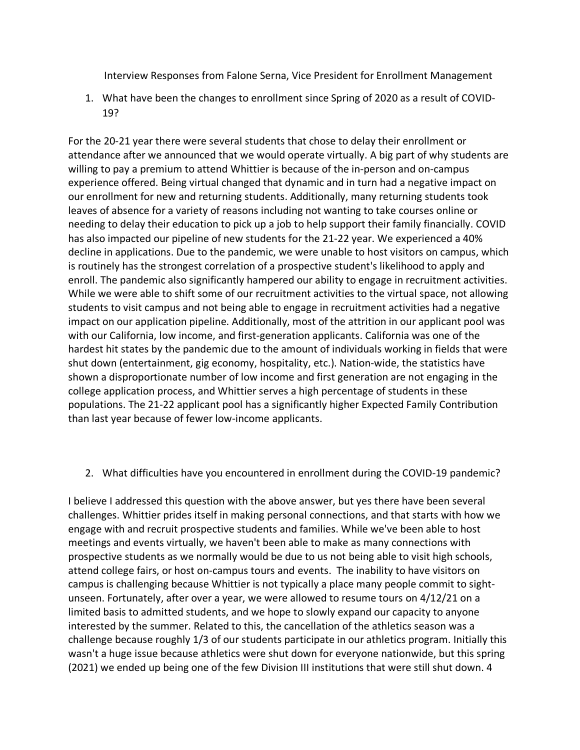Interview Responses from Falone Serna, Vice President for Enrollment Management

1. What have been the changes to enrollment since Spring of 2020 as a result of COVID-19?

For the 20-21 year there were several students that chose to delay their enrollment or attendance after we announced that we would operate virtually. A big part of why students are willing to pay a premium to attend Whittier is because of the in-person and on-campus experience offered. Being virtual changed that dynamic and in turn had a negative impact on our enrollment for new and returning students. Additionally, many returning students took leaves of absence for a variety of reasons including not wanting to take courses online or needing to delay their education to pick up a job to help support their family financially. COVID has also impacted our pipeline of new students for the 21-22 year. We experienced a 40% decline in applications. Due to the pandemic, we were unable to host visitors on campus, which is routinely has the strongest correlation of a prospective student's likelihood to apply and enroll. The pandemic also significantly hampered our ability to engage in recruitment activities. While we were able to shift some of our recruitment activities to the virtual space, not allowing students to visit campus and not being able to engage in recruitment activities had a negative impact on our application pipeline. Additionally, most of the attrition in our applicant pool was with our California, low income, and first-generation applicants. California was one of the hardest hit states by the pandemic due to the amount of individuals working in fields that were shut down (entertainment, gig economy, hospitality, etc.). Nation-wide, the statistics have shown a disproportionate number of low income and first generation are not engaging in the college application process, and Whittier serves a high percentage of students in these populations. The 21-22 applicant pool has a significantly higher Expected Family Contribution than last year because of fewer low-income applicants.

## 2. What difficulties have you encountered in enrollment during the COVID-19 pandemic?

I believe I addressed this question with the above answer, but yes there have been several challenges. Whittier prides itself in making personal connections, and that starts with how we engage with and recruit prospective students and families. While we've been able to host meetings and events virtually, we haven't been able to make as many connections with prospective students as we normally would be due to us not being able to visit high schools, attend college fairs, or host on-campus tours and events. The inability to have visitors on campus is challenging because Whittier is not typically a place many people commit to sightunseen. Fortunately, after over a year, we were allowed to resume tours on 4/12/21 on a limited basis to admitted students, and we hope to slowly expand our capacity to anyone interested by the summer. Related to this, the cancellation of the athletics season was a challenge because roughly 1/3 of our students participate in our athletics program. Initially this wasn't a huge issue because athletics were shut down for everyone nationwide, but this spring (2021) we ended up being one of the few Division III institutions that were still shut down. 4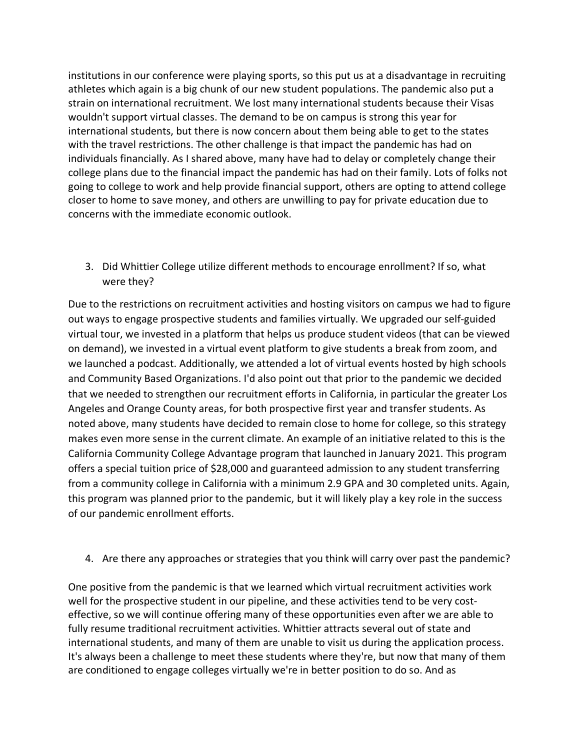institutions in our conference were playing sports, so this put us at a disadvantage in recruiting athletes which again is a big chunk of our new student populations. The pandemic also put a strain on international recruitment. We lost many international students because their Visas wouldn't support virtual classes. The demand to be on campus is strong this year for international students, but there is now concern about them being able to get to the states with the travel restrictions. The other challenge is that impact the pandemic has had on individuals financially. As I shared above, many have had to delay or completely change their college plans due to the financial impact the pandemic has had on their family. Lots of folks not going to college to work and help provide financial support, others are opting to attend college closer to home to save money, and others are unwilling to pay for private education due to concerns with the immediate economic outlook.

3. Did Whittier College utilize different methods to encourage enrollment? If so, what were they?

Due to the restrictions on recruitment activities and hosting visitors on campus we had to figure out ways to engage prospective students and families virtually. We upgraded our self-guided virtual tour, we invested in a platform that helps us produce student videos (that can be viewed on demand), we invested in a virtual event platform to give students a break from zoom, and we launched a podcast. Additionally, we attended a lot of virtual events hosted by high schools and Community Based Organizations. I'd also point out that prior to the pandemic we decided that we needed to strengthen our recruitment efforts in California, in particular the greater Los Angeles and Orange County areas, for both prospective first year and transfer students. As noted above, many students have decided to remain close to home for college, so this strategy makes even more sense in the current climate. An example of an initiative related to this is the California Community College Advantage program that launched in January 2021. This program offers a special tuition price of \$28,000 and guaranteed admission to any student transferring from a community college in California with a minimum 2.9 GPA and 30 completed units. Again, this program was planned prior to the pandemic, but it will likely play a key role in the success of our pandemic enrollment efforts.

4. Are there any approaches or strategies that you think will carry over past the pandemic?

One positive from the pandemic is that we learned which virtual recruitment activities work well for the prospective student in our pipeline, and these activities tend to be very costeffective, so we will continue offering many of these opportunities even after we are able to fully resume traditional recruitment activities. Whittier attracts several out of state and international students, and many of them are unable to visit us during the application process. It's always been a challenge to meet these students where they're, but now that many of them are conditioned to engage colleges virtually we're in better position to do so. And as